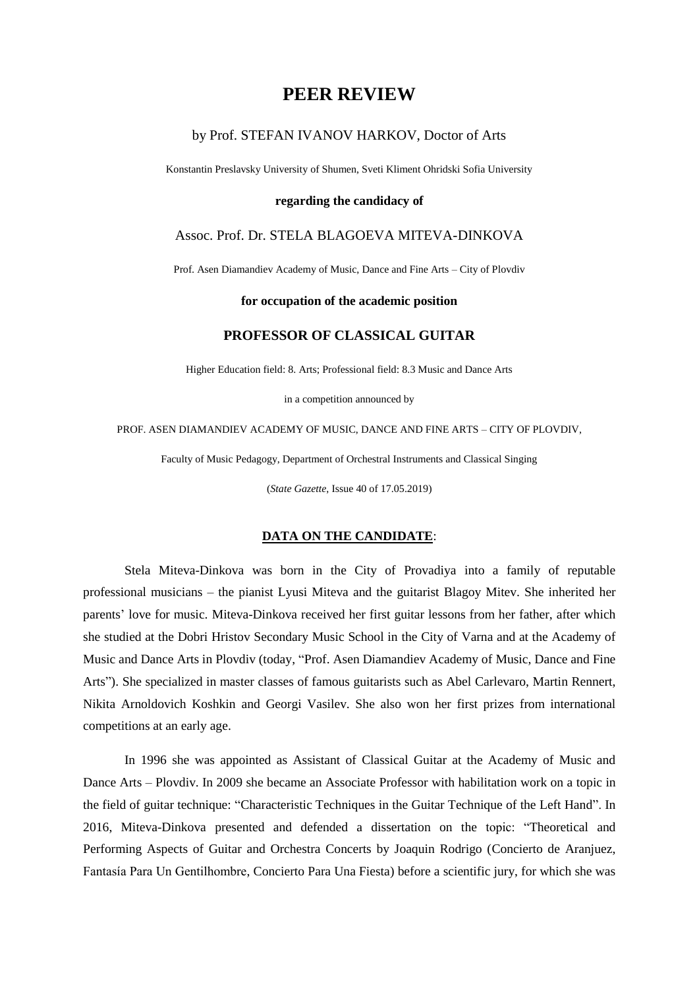# **PEER REVIEW**

# by Prof. STEFAN IVANOV HARKOV, Doctor of Arts

Konstantin Preslavsky University of Shumen, Sveti Kliment Ohridski Sofia University

#### **regarding the candidacy of**

### Assoc. Prof. Dr. STELA BLAGOEVA MITEVA-DINKOVA

Prof. Asen Diamandiev Academy of Music, Dance and Fine Arts – City of Plovdiv

### **for occupation of the academic position**

#### **PROFESSOR OF CLASSICAL GUITAR**

Higher Education field: 8. Arts; Professional field: 8.3 Music and Dance Arts

in a competition announced by

PROF. ASEN DIAMANDIEV ACADEMY OF MUSIC, DANCE AND FINE ARTS – CITY OF PLOVDIV,

Faculty of Music Pedagogy, Department of Orchestral Instruments and Classical Singing

(*State Gazette*, Issue 40 of 17.05.2019)

# **DATA ON THE CANDIDATE**:

Stela Miteva-Dinkova was born in the City of Provadiya into a family of reputable professional musicians – the pianist Lyusi Miteva and the guitarist Blagoy Mitev. She inherited her parents' love for music. Miteva-Dinkova received her first guitar lessons from her father, after which she studied at the Dobri Hristov Secondary Music School in the City of Varna and at the Academy of Music and Dance Arts in Plovdiv (today, "Prof. Asen Diamandiev Academy of Music, Dance and Fine Arts"). She specialized in master classes of famous guitarists such as Abel Carlevaro, Martin Rennert, Nikita Arnoldovich Koshkin and Georgi Vasilev. She also won her first prizes from international competitions at an early age.

In 1996 she was appointed as Assistant of Classical Guitar at the Academy of Music and Dance Arts – Plovdiv. In 2009 she became an Associate Professor with habilitation work on a topic in the field of guitar technique: "Characteristic Techniques in the Guitar Technique of the Left Hand". In 2016, Miteva-Dinkova presented and defended a dissertation on the topic: "Theoretical and Performing Aspects of Guitar and Orchestra Concerts by Joaquin Rodrigo (Concierto de Aranjuez, Fantasía Para Un Gentilhombre, Concierto Para Una Fiesta) before a scientific jury, for which she was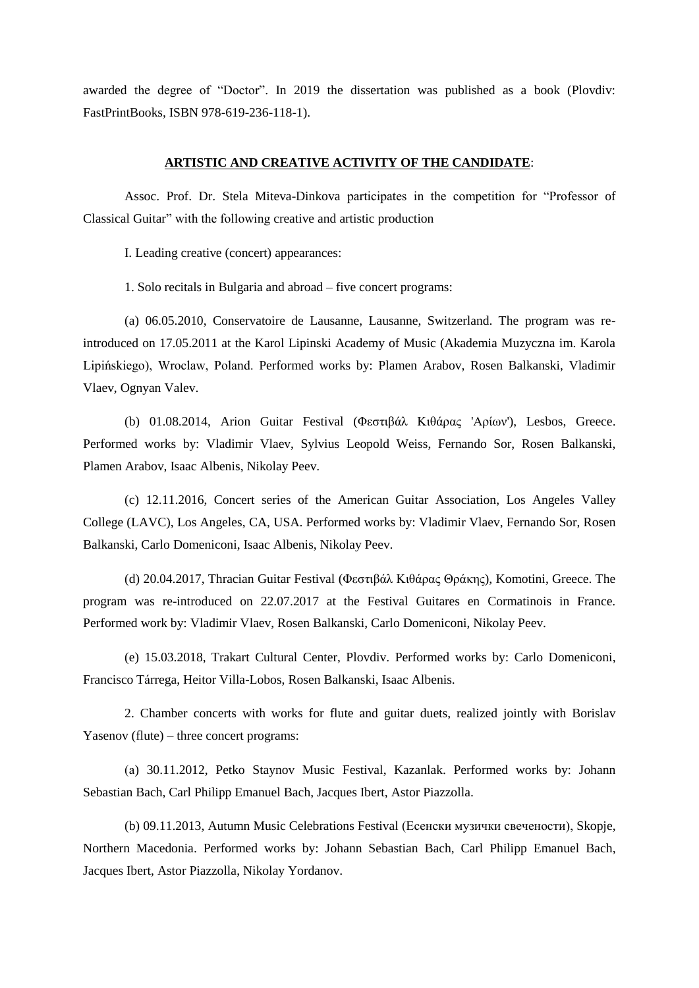awarded the degree of "Doctor". In 2019 the dissertation was published as a book (Plovdiv: FastPrintBooks, ISBN 978-619-236-118-1).

# **ARTISTIC AND CREATIVE ACTIVITY OF THE CANDIDATE**:

Assoc. Prof. Dr. Stela Miteva-Dinkova participates in the competition for "Professor of Classical Guitar" with the following creative and artistic production

I. Leading creative (concert) appearances:

1. Solo recitals in Bulgaria and abroad – five concert programs:

(a) 06.05.2010, Conservatoire de Lausanne, Lausanne, Switzerland. The program was reintroduced on 17.05.2011 at the Karol Lipinski Academy of Music (Akademia Muzyczna im. Karola Lipińskiego), Wroclaw, Poland. Performed works by: Plamen Arabov, Rosen Balkanski, Vladimir Vlaev, Ognyan Valev.

(b) 01.08.2014, Arion Guitar Festival (Φεστιβάλ Κιθάρας 'Αρίων'), Lesbos, Greece. Performed works by: Vladimir Vlaev, Sylvius Leopold Weiss, Fernando Sor, Rosen Balkanski, Plamen Arabov, Isaac Albenis, Nikolay Peev.

(c) 12.11.2016, Concert series of the American Guitar Association, Los Angeles Valley College (LAVC), Los Angeles, CA, USA. Performed works by: Vladimir Vlaev, Fernando Sor, Rosen Balkanski, Carlo Domeniconi, Isaac Albenis, Nikolay Peev.

(d) 20.04.2017, Thracian Guitar Festival (Φεστιβάλ Κιθάρας Θράκης), Komotini, Greece. The program was re-introduced on 22.07.2017 at the Festival Guitares en Cormatinois in France. Performed work by: Vladimir Vlaev, Rosen Balkanski, Carlo Domeniconi, Nikolay Peev.

(e) 15.03.2018, Trakart Cultural Center, Plovdiv. Performed works by: Carlo Domeniconi, Francisco Tárrega, Heitor Villa-Lobos, Rosen Balkanski, Isaac Albenis.

2. Chamber concerts with works for flute and guitar duets, realized jointly with Borislav Yasenov (flute) – three concert programs:

(а) 30.11.2012, Petko Staynov Music Festival, Kazanlak. Performed works by: Johann Sebastian Bach, Carl Philipp Emanuel Bach, Jacques Ibert, Astor Piazzolla.

(b) 09.11.2013, Autumn Music Celebrations Festival (Есенски музички свечености), Skopje, Northern Macedonia. Performed works by: Johann Sebastian Bach, Carl Philipp Emanuel Bach, Jacques Ibert, Astor Piazzolla, Nikolay Yordanov.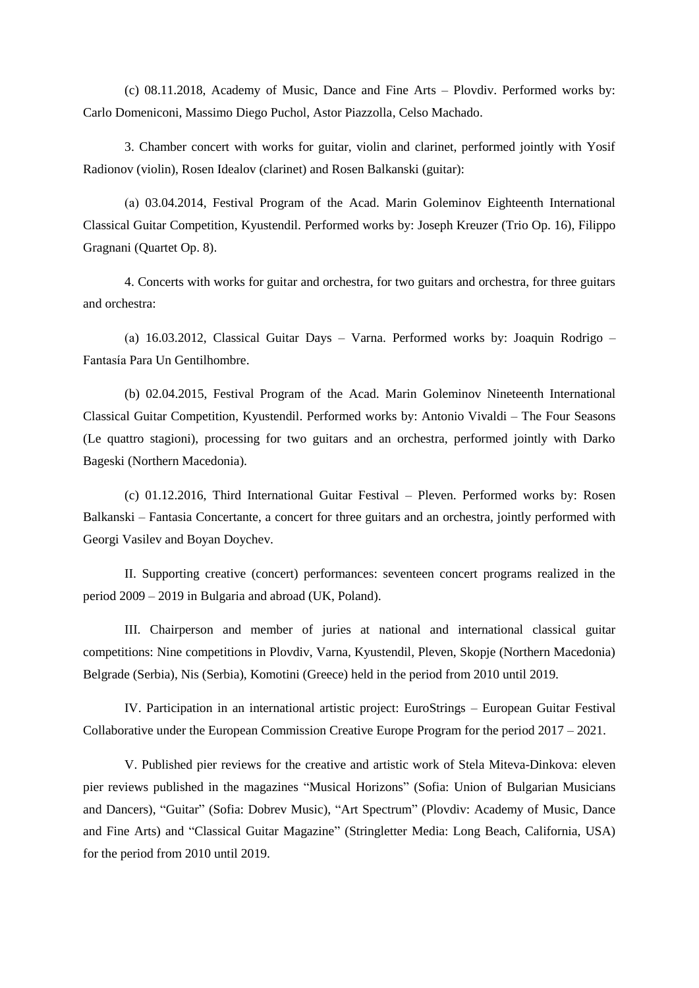(c) 08.11.2018, Academy of Music, Dance and Fine Arts – Plovdiv. Performed works by: Carlo Domeniconi, Massimo Diego Puchol, Astor Piazzolla, Celso Machado.

3. Chamber concert with works for guitar, violin and clarinet, performed jointly with Yosif Radionov (violin), Rosen Idealov (clarinet) and Rosen Balkanski (guitar):

(а) 03.04.2014, Festival Program of the Acad. Marin Goleminov Eighteenth International Classical Guitar Competition, Kyustendil. Performed works by: Joseph Kreuzer (Trio Op. 16), Filippo Gragnani (Quartet Op. 8).

4. Concerts with works for guitar and orchestra, for two guitars and orchestra, for three guitars and orchestra:

(а) 16.03.2012, Classical Guitar Days – Varna. Performed works by: Joaquin Rodrigo – Fantasía Para Un Gentilhombre.

(b) 02.04.2015, Festival Program of the Acad. Marin Goleminov Nineteenth International Classical Guitar Competition, Kyustendil. Performed works by: Antonio Vivaldi – The Four Seasons (Le quattro stagioni), processing for two guitars and an orchestra, performed jointly with Darko Bageski (Northern Macedonia).

(c) 01.12.2016, Third International Guitar Festival – Pleven. Performed works by: Rosen Balkanski – Fantasia Concertante, a concert for three guitars and an orchestra, jointly performed with Georgi Vasilev and Boyan Doychev.

II. Supporting creative (concert) performances: seventeen concert programs realized in the period 2009 – 2019 in Bulgaria and abroad (UK, Poland).

III. Chairperson and member of juries at national and international classical guitar competitions: Nine competitions in Plovdiv, Varna, Kyustendil, Pleven, Skopje (Northern Macedonia) Belgrade (Serbia), Nis (Serbia), Komotini (Greece) held in the period from 2010 until 2019.

IV. Participation in an international artistic project: EuroStrings – European Guitar Festival Collaborative under the European Commission Creative Europe Program for the period 2017 – 2021.

V. Published pier reviews for the creative and artistic work of Stela Miteva-Dinkova: eleven pier reviews published in the magazines "Musical Horizons" (Sofia: Union of Bulgarian Musicians and Dancers), "Guitar" (Sofia: Dobrev Music), "Art Spectrum" (Plovdiv: Academy of Music, Dance and Fine Arts) and "Classical Guitar Magazine" (Stringletter Media: Long Beach, California, USA) for the period from 2010 until 2019.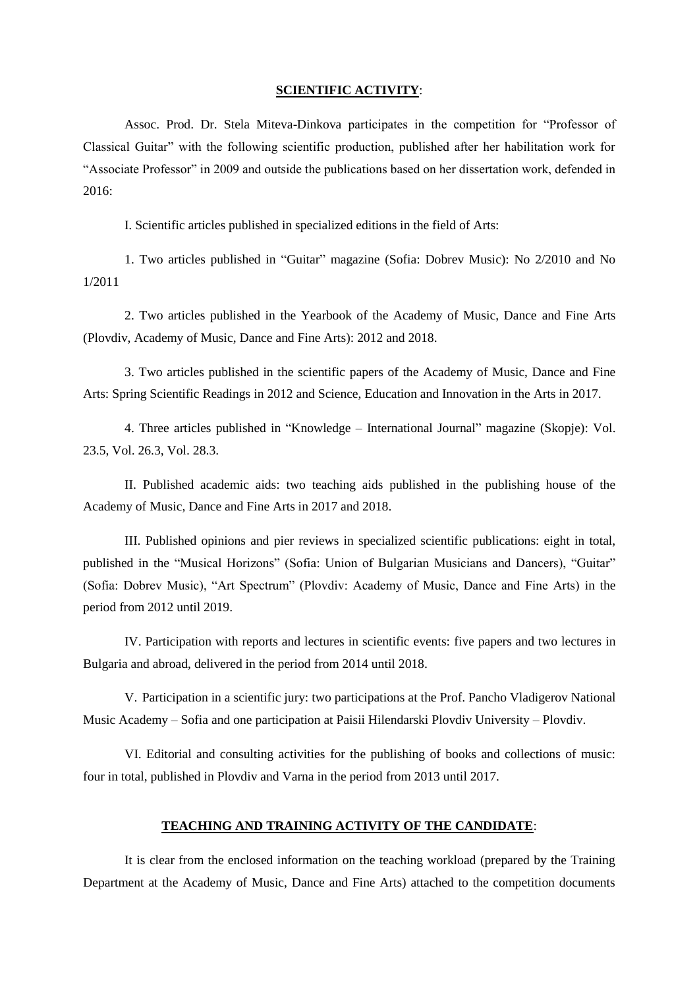# **SCIENTIFIC ACTIVITY**:

Assoc. Prod. Dr. Stela Miteva-Dinkova participates in the competition for "Professor of Classical Guitar" with the following scientific production, published after her habilitation work for "Associate Professor" in 2009 and outside the publications based on her dissertation work, defended in 2016:

I. Scientific articles published in specialized editions in the field of Arts:

1. Two articles published in "Guitar" magazine (Sofia: Dobrev Music): No 2/2010 and No 1/2011

2. Two articles published in the Yearbook of the Academy of Music, Dance and Fine Arts (Plovdiv, Academy of Music, Dance and Fine Arts): 2012 and 2018.

3. Two articles published in the scientific papers of the Academy of Music, Dance and Fine Arts: Spring Scientific Readings in 2012 and Science, Education and Innovation in the Arts in 2017.

4. Three articles published in "Knowledge – International Journal" magazine (Skopje): Vol. 23.5, Vol. 26.3, Vol. 28.3.

II. Published academic aids: two teaching aids published in the publishing house of the Academy of Music, Dance and Fine Arts in 2017 and 2018.

III. Published opinions and pier reviews in specialized scientific publications: eight in total, published in the "Musical Horizons" (Sofia: Union of Bulgarian Musicians and Dancers), "Guitar" (Sofia: Dobrev Music), "Art Spectrum" (Plovdiv: Academy of Music, Dance and Fine Arts) in the period from 2012 until 2019.

IV. Participation with reports and lectures in scientific events: five papers and two lectures in Bulgaria and abroad, delivered in the period from 2014 until 2018.

V. Participation in a scientific jury: two participations at the Prof. Pancho Vladigerov National Music Academy – Sofia and one participation at Paisii Hilendarski Plovdiv University – Plovdiv.

VI. Editorial and consulting activities for the publishing of books and collections of music: four in total, published in Plovdiv and Varna in the period from 2013 until 2017.

### **TEACHING AND TRAINING ACTIVITY OF THE CANDIDATE**:

It is clear from the enclosed information on the teaching workload (prepared by the Training Department at the Academy of Music, Dance and Fine Arts) attached to the competition documents